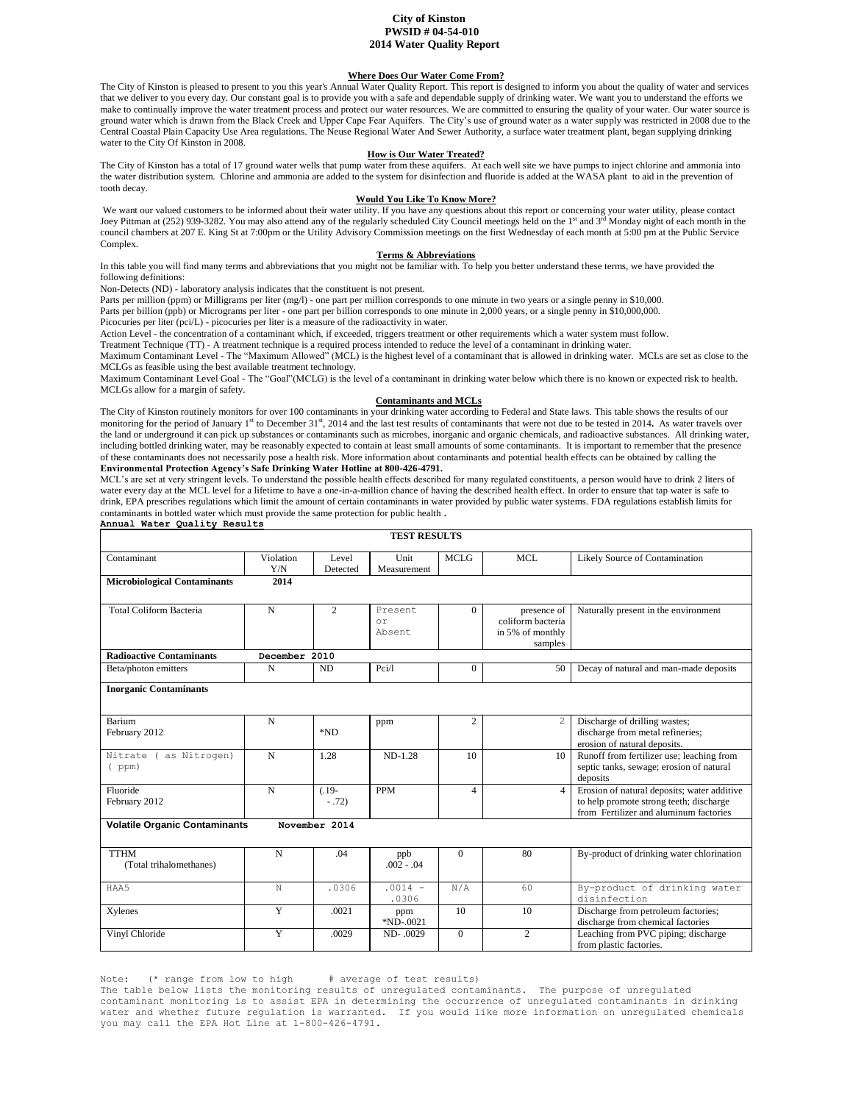## **City of Kinston PWSID # 04-54-010 2014 Water Quality Report**

# **Where Does Our Water Come From?**

The City of Kinston is pleased to present to you this year's Annual Water Quality Report. This report is designed to inform you about the quality of water and services that we deliver to you every day. Our constant goal is to provide you with a safe and dependable supply of drinking water. We want you to understand the efforts we make to continually improve the water treatment process and protect our water resources. We are committed to ensuring the quality of your water. Our water source is ground water which is drawn from the Black Creek and Upper Cape Fear Aquifers. The City's use of ground water as a water supply was restricted in 2008 due to the Central Coastal Plain Capacity Use Area regulations. The Neuse Regional Water And Sewer Authority, a surface water treatment plant, began supplying drinking water to the City Of Kinston in 2008.

## **How is Our Water Treated?**

The City of Kinston has a total of 17 ground water wells that pump water from these aquifers. At each well site we have pumps to inject chlorine and ammonia into the water distribution system. Chlorine and ammonia are added to the system for disinfection and fluoride is added at the WASA plant to aid in the prevention of tooth decay.

## **Would You Like To Know More?**

We want our valued customers to be informed about their water utility. If you have any questions about this report or concerning your water utility, please contact<br>Joey Pittman at (252) 939-3282. You may also attend any o council chambers at 207 E. King St at 7:00pm or the Utility Advisory Commission meetings on the first Wednesday of each month at 5:00 pm at the Public Service Complex.

#### **Terms & Abbreviations**

In this table you will find many terms and abbreviations that you might not be familiar with. To help you better understand these terms, we have provided the following definitions:

Non-Detects (ND) - laboratory analysis indicates that the constituent is not present.

Parts per million (ppm) or Milligrams per liter (mg/l) - one part per million corresponds to one minute in two years or a single penny in \$10,000.

Parts per billion (ppb) or Micrograms per liter - one part per billion corresponds to one minute in 2,000 years, or a single penny in \$10,000,000.

Picocuries per liter (pci/L) - picocuries per liter is a measure of the radioactivity in water.

Action Level - the concentration of a contaminant which, if exceeded, triggers treatment or other requirements which a water system must follow.

Treatment Technique (TT) - A treatment technique is a required process intended to reduce the level of a contaminant in drinking water.

Maximum Contaminant Level - The "Maximum Allowed" (MCL) is the highest level of a contaminant that is allowed in drinking water. MCLs are set as close to the MCLGs as feasible using the best available treatment technology.

Maximum Contaminant Level Goal - The "Goal"(MCLG) is the level of a contaminant in drinking water below which there is no known or expected risk to health. MCLGs allow for a margin of safety.

### **Contaminants and MCLs**

The City of Kinston routinely monitors for over 100 contaminants in your drinking water according to Federal and State laws. This table shows the results of our monitoring for the period of January 1<sup>st</sup> to December 31<sup>st</sup>, 2014 and the last test results of contaminants that were not due to be tested in 2014. As water travels over the land or underground it can pick up substances or contaminants such as microbes, inorganic and organic chemicals, and radioactive substances. All drinking water, including bottled drinking water, may be reasonably expected to contain at least small amounts of some contaminants. It is important to remember that the presence of these contaminants does not necessarily pose a health risk. More information about contaminants and potential health effects can be obtained by calling the **Environmental Protection Agency's Safe Drinking Water Hotline at 800-426-4791.**

MCL's are set at very stringent levels. To understand the possible health effects described for many regulated constituents, a person would have to drink 2 liters of water every day at the MCL level for a lifetime to have a one-in-a-million chance of having the described health effect. In order to ensure that tap water is safe to drink, EPA prescribes regulations which limit the amount of certain contaminants in water provided by public water systems. FDA regulations establish limits for contaminants in bottled water which must provide the same protection for public health **.** 

#### **Annual Water Quality Results**

| <b>TEST RESULTS</b>                                   |                  |                    |                          |                     |                                                                 |                                                                                                                                  |
|-------------------------------------------------------|------------------|--------------------|--------------------------|---------------------|-----------------------------------------------------------------|----------------------------------------------------------------------------------------------------------------------------------|
| Contaminant                                           | Violation<br>Y/N | Level<br>Detected  | Unit<br>Measurement      | <b>MCLG</b><br>MCL. |                                                                 | Likely Source of Contamination                                                                                                   |
| <b>Microbiological Contaminants</b><br>2014           |                  |                    |                          |                     |                                                                 |                                                                                                                                  |
| <b>Total Coliform Bacteria</b>                        | $\mathbf N$      | $\overline{c}$     | Present.<br>or<br>Absent | $\Omega$            | presence of<br>coliform bacteria<br>in 5% of monthly<br>samples | Naturally present in the environment                                                                                             |
| <b>Radioactive Contaminants</b>                       | December 2010    |                    |                          |                     |                                                                 |                                                                                                                                  |
| Beta/photon emitters                                  | N                | ND                 | Pci/l                    | $\mathbf{0}$        | 50                                                              | Decay of natural and man-made deposits                                                                                           |
| <b>Inorganic Contaminants</b>                         |                  |                    |                          |                     |                                                                 |                                                                                                                                  |
| Barium<br>February 2012                               | $\mathbf N$      | *ND                | ppm                      | $\overline{c}$      | $\overline{2}$                                                  | Discharge of drilling wastes;<br>discharge from metal refineries;<br>erosion of natural deposits.                                |
| as Nitrogen)<br>Nitrate (<br>$($ ppm $)$              | $\mathbf N$      | 1.28               | $ND-1.28$                | 10                  | 10                                                              | Runoff from fertilizer use; leaching from<br>septic tanks, sewage; erosion of natural<br>deposits                                |
| Fluoride<br>February 2012                             | $\mathbf N$      | $(.19-$<br>$-.72)$ | <b>PPM</b>               | $\overline{4}$      | $\overline{4}$                                                  | Erosion of natural deposits; water additive<br>to help promote strong teeth; discharge<br>from Fertilizer and aluminum factories |
| <b>Volatile Organic Contaminants</b><br>November 2014 |                  |                    |                          |                     |                                                                 |                                                                                                                                  |
| <b>TTHM</b><br>(Total trihalomethanes)                | N                | .04                | ppb<br>$.002 - .04$      | $\Omega$            | 80                                                              | By-product of drinking water chlorination                                                                                        |
| HAA5                                                  | N                | .0306              | $.0014 -$<br>.0306       | N/A                 | 60                                                              | By-product of drinking water<br>disinfection                                                                                     |
| Xylenes                                               | Y                | .0021              | ppm<br>$*ND-0021$        | 10                  | 10                                                              | Discharge from petroleum factories;<br>discharge from chemical factories                                                         |
| Vinyl Chloride                                        | Y                | .0029              | ND-.0029                 | $\Omega$            | $\overline{2}$                                                  | Leaching from PVC piping; discharge<br>from plastic factories.                                                                   |

Note:  $(* \text{ range from low to high} # average of test results)$ 

The table below lists the monitoring results of unregulated contaminants. The purpose of unregulated contaminant monitoring is to assist EPA in determining the occurrence of unregulated contaminants in drinking water and whether future regulation is warranted. If you would like more information on unregulated chemicals you may call the EPA Hot Line at 1-800-426-4791.